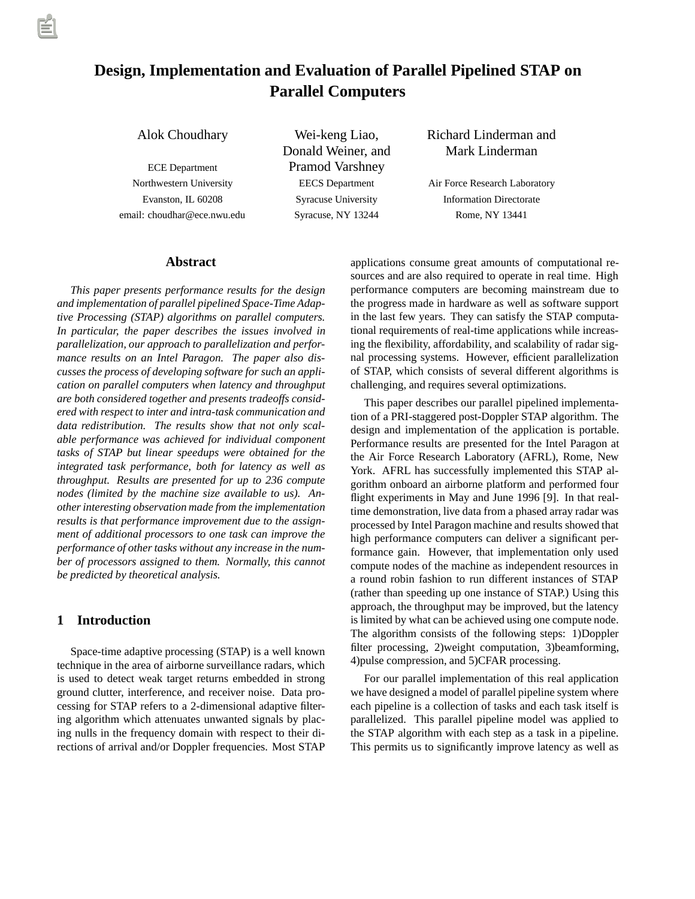# **Design, Implementation and Evaluation of Parallel Pipelined STAP on Parallel Computers**

Alok Choudhary

ECE Department Northwestern University Evanston, IL 60208 email: choudhar@ece.nwu.edu

Wei-keng Liao, Donald Weiner, and Pramod Varshney EECS Department Syracuse University Syracuse, NY 13244

Richard Linderman and Mark Linderman

Air Force Research Laboratory Information Directorate Rome, NY 13441

# **Abstract**

*This paper presents performance results for the design and implementation of parallel pipelined Space-Time Adaptive Processing (STAP) algorithms on parallel computers. In particular, the paper describes the issues involved in parallelization, our approach to parallelization and performance results on an Intel Paragon. The paper also discusses the process of developing software for such an application on parallel computers when latency and throughput are both considered together and presents tradeoffs considered with respect to inter and intra-task communication and data redistribution. The results show that not only scalable performance was achieved for individual component tasks of STAP but linear speedups were obtained for the integrated task performance, both for latency as well as throughput. Results are presented for up to 236 compute nodes (limited by the machine size available to us). Another interesting observation made from the implementation results is that performance improvement due to the assignment of additional processors to one task can improve the performance of other tasks without any increase in the number of processors assigned to them. Normally, this cannot be predicted by theoretical analysis.*

# **1 Introduction**

Space-time adaptive processing (STAP) is a well known technique in the area of airborne surveillance radars, which is used to detect weak target returns embedded in strong ground clutter, interference, and receiver noise. Data processing for STAP refers to a 2-dimensional adaptive filtering algorithm which attenuates unwanted signals by placing nulls in the frequency domain with respect to their directions of arrival and/or Doppler frequencies. Most STAP applications consume great amounts of computational resources and are also required to operate in real time. High performance computers are becoming mainstream due to the progress made in hardware as well as software support in the last few years. They can satisfy the STAP computational requirements of real-time applications while increasing the flexibility, affordability, and scalability of radar signal processing systems. However, efficient parallelization of STAP, which consists of several different algorithms is challenging, and requires several optimizations.

This paper describes our parallel pipelined implementation of a PRI-staggered post-Doppler STAP algorithm. The design and implementation of the application is portable. Performance results are presented for the Intel Paragon at the Air Force Research Laboratory (AFRL), Rome, New York. AFRL has successfully implemented this STAP algorithm onboard an airborne platform and performed four flight experiments in May and June 1996 [9]. In that realtime demonstration, live data from a phased array radar was processed by Intel Paragon machine and results showed that high performance computers can deliver a significant performance gain. However, that implementation only used compute nodes of the machine as independent resources in a round robin fashion to run different instances of STAP (rather than speeding up one instance of STAP.) Using this approach, the throughput may be improved, but the latency is limited by what can be achieved using one compute node. The algorithm consists of the following steps: 1)Doppler filter processing, 2)weight computation, 3)beamforming, 4)pulse compression, and 5)CFAR processing.

For our parallel implementation of this real application we have designed a model of parallel pipeline system where each pipeline is a collection of tasks and each task itself is parallelized. This parallel pipeline model was applied to the STAP algorithm with each step as a task in a pipeline. This permits us to significantly improve latency as well as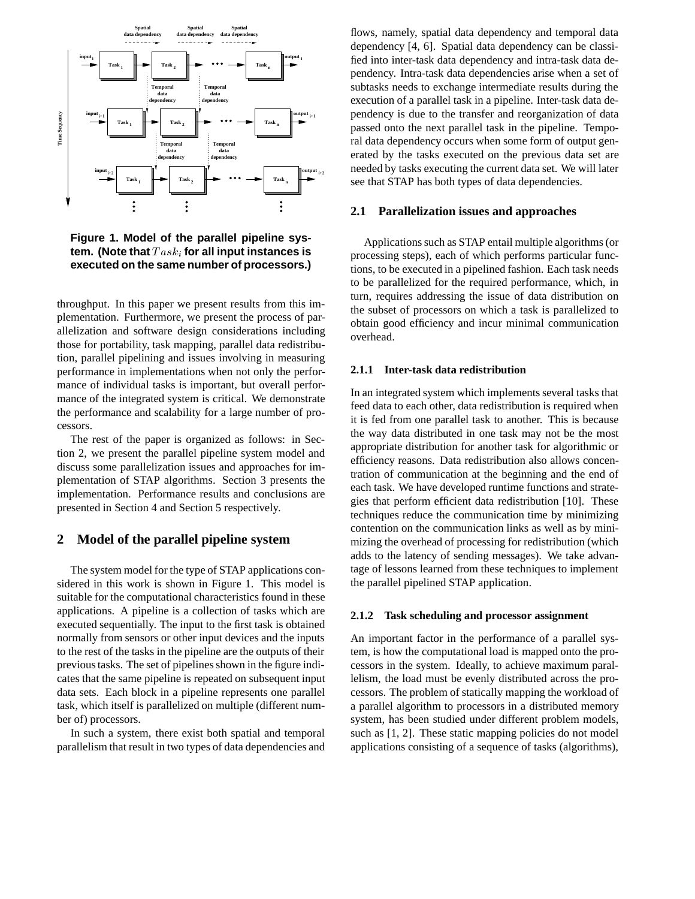

**Figure 1. Model of the parallel pipeline sys**tem. (Note that  $Task_i$  for all input instances is **executed on the same number of processors.)**

throughput. In this paper we present results from this implementation. Furthermore, we present the process of parallelization and software design considerations including those for portability, task mapping, parallel data redistribution, parallel pipelining and issues involving in measuring performance in implementations when not only the performance of individual tasks is important, but overall performance of the integrated system is critical. We demonstrate the performance and scalability for a large number of processors.

The rest of the paper is organized as follows: in Section 2, we present the parallel pipeline system model and discuss some parallelization issues and approaches for implementation of STAP algorithms. Section 3 presents the implementation. Performance results and conclusions are presented in Section 4 and Section 5 respectively.

## **2 Model of the parallel pipeline system**

The system model for the type of STAP applications considered in this work is shown in Figure 1. This model is suitable for the computational characteristics found in these applications. A pipeline is a collection of tasks which are executed sequentially. The input to the first task is obtained normally from sensors or other input devices and the inputs to the rest of the tasks in the pipeline are the outputs of their previous tasks. The set of pipelines shown in the figure indicates that the same pipeline is repeated on subsequent input data sets. Each block in a pipeline represents one parallel task, which itself is parallelized on multiple (different number of) processors.

In such a system, there exist both spatial and temporal parallelism that result in two types of data dependencies and flows, namely, spatial data dependency and temporal data dependency [4, 6]. Spatial data dependency can be classified into inter-task data dependency and intra-task data dependency. Intra-task data dependencies arise when a set of subtasks needs to exchange intermediate results during the execution of a parallel task in a pipeline. Inter-task data dependency is due to the transfer and reorganization of data passed onto the next parallel task in the pipeline. Temporal data dependency occurs when some form of output generated by the tasks executed on the previous data set are needed by tasks executing the current data set. We will later see that STAP has both types of data dependencies.

#### **2.1 Parallelization issues and approaches**

Applications such as STAP entail multiple algorithms (or processing steps), each of which performs particular functions, to be executed in a pipelined fashion. Each task needs to be parallelized for the required performance, which, in turn, requires addressing the issue of data distribution on the subset of processors on which a task is parallelized to obtain good efficiency and incur minimal communication overhead.

#### **2.1.1 Inter-task data redistribution**

In an integrated system which implements several tasks that feed data to each other, data redistribution is required when it is fed from one parallel task to another. This is because the way data distributed in one task may not be the most appropriate distribution for another task for algorithmic or efficiency reasons. Data redistribution also allows concentration of communication at the beginning and the end of each task. We have developed runtime functions and strategies that perform efficient data redistribution [10]. These techniques reduce the communication time by minimizing contention on the communication links as well as by minimizing the overhead of processing for redistribution (which adds to the latency of sending messages). We take advantage of lessons learned from these techniques to implement the parallel pipelined STAP application.

#### **2.1.2 Task scheduling and processor assignment**

An important factor in the performance of a parallel system, is how the computational load is mapped onto the processors in the system. Ideally, to achieve maximum parallelism, the load must be evenly distributed across the processors. The problem of statically mapping the workload of a parallel algorithm to processors in a distributed memory system, has been studied under different problem models, such as [1, 2]. These static mapping policies do not model applications consisting of a sequence of tasks (algorithms),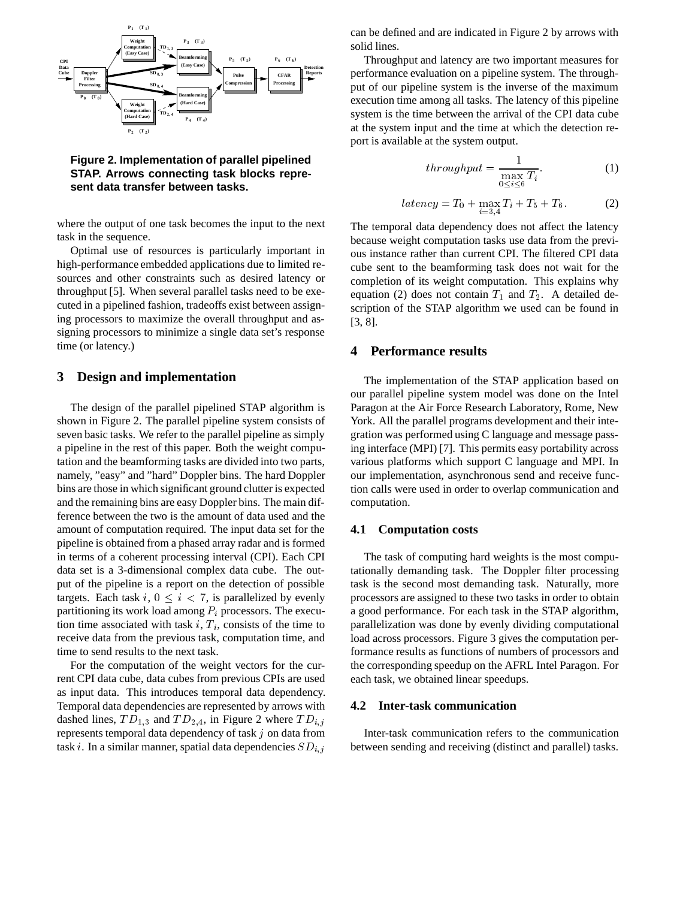

**Figure 2. Implementation of parallel pipelined STAP. Arrows connecting task blocks represent data transfer between tasks.**

where the output of one task becomes the input to the next task in the sequence.

Optimal use of resources is particularly important in high-performance embedded applications due to limited resources and other constraints such as desired latency or throughput [5]. When several parallel tasks need to be executed in a pipelined fashion, tradeoffs exist between assigning processors to maximize the overall throughput and assigning processors to minimize a single data set's response time (or latency.)

## **3 Design and implementation**

The design of the parallel pipelined STAP algorithm is shown in Figure 2. The parallel pipeline system consists of seven basic tasks. We refer to the parallel pipeline as simply a pipeline in the rest of this paper. Both the weight computation and the beamforming tasks are divided into two parts, namely, "easy" and "hard" Doppler bins. The hard Doppler bins are those in which significant ground clutter is expected and the remaining bins are easy Doppler bins. The main difference between the two is the amount of data used and the amount of computation required. The input data set for the pipeline is obtained from a phased array radar and is formed in terms of a coherent processing interval (CPI). Each CPI data set is a 3-dimensional complex data cube. The output of the pipeline is a report on the detection of possible targets. Each task  $i, 0 \le i < 7$ , is parallelized by evenly partitioning its work load among  $P_i$  processors. The execution time associated with task  $i, T<sub>i</sub>$ , consists of the time to receive data from the previous task, computation time, and time to send results to the next task.

For the computation of the weight vectors for the current CPI data cube, data cubes from previous CPIs are used as input data. This introduces temporal data dependency. Temporal data dependencies are represented by arrows with dashed lines,  $TD_{1,3}$  and  $TD_{2,4}$ , in Figure 2 where  $TD_{i,j}$ represents temporal data dependency of task <sup>j</sup> on data from task *i*. In a similar manner, spatial data dependencies  $SD_{i,j}$ 

can be defined and are indicated in Figure 2 by arrows with solid lines.

Throughput and latency are two important measures for performance evaluation on a pipeline system. The throughput of our pipeline system is the inverse of the maximum execution time among all tasks. The latency of this pipeline system is the time between the arrival of the CPI data cube at the system input and the time at which the detection report is available at the system output.

$$
throughput = \frac{1}{\max_{0 \le i \le 6} T_i}.
$$
 (1)

$$
latency = T_0 + \max_{i=3,4} T_i + T_5 + T_6. \tag{2}
$$

The temporal data dependency does not affect the latency because weight computation tasks use data from the previous instance rather than current CPI. The filtered CPI data cube sent to the beamforming task does not wait for the completion of its weight computation. This explains why equation (2) does not contain  $T_1$  and  $T_2$ . A detailed description of the STAP algorithm we used can be found in [3, 8].

### **4 Performance results**

The implementation of the STAP application based on our parallel pipeline system model was done on the Intel Paragon at the Air Force Research Laboratory, Rome, New York. All the parallel programs development and their integration was performed using C language and message passing interface (MPI) [7]. This permits easy portability across various platforms which support C language and MPI. In our implementation, asynchronous send and receive function calls were used in order to overlap communication and computation.

#### **4.1 Computation costs**

The task of computing hard weights is the most computationally demanding task. The Doppler filter processing task is the second most demanding task. Naturally, more processors are assigned to these two tasks in order to obtain a good performance. For each task in the STAP algorithm, parallelization was done by evenly dividing computational load across processors. Figure 3 gives the computation performance results as functions of numbers of processors and the corresponding speedup on the AFRL Intel Paragon. For each task, we obtained linear speedups.

#### **4.2 Inter-task communication**

Inter-task communication refers to the communication between sending and receiving (distinct and parallel) tasks.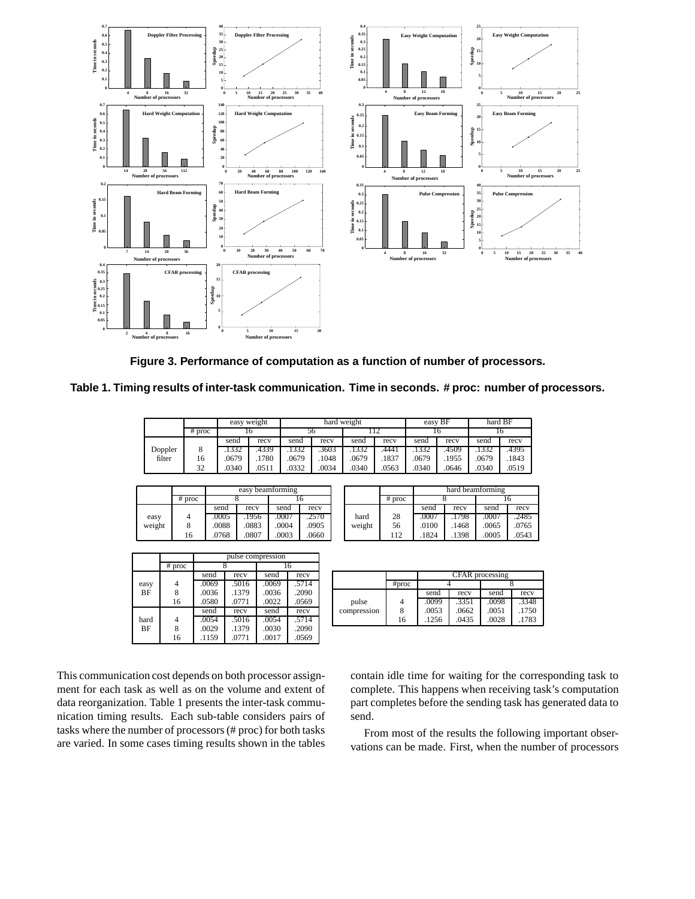

**Figure 3. Performance of computation as a function of number of processors.**

**Table 1. Timing results of inter-task communication. Time in seconds. # proc: number of processors.**

|         |          | easy weight |       |      | hard weight |       |       |       | easy BF |       | hard BF |  |
|---------|----------|-------------|-------|------|-------------|-------|-------|-------|---------|-------|---------|--|
|         | $#$ proc |             |       |      | 56          |       |       |       |         |       |         |  |
|         |          | send        | recv  | send | recy        | send  | recy  | send  | recy    | send  | recy    |  |
| Doppler |          | 1332        | .4339 | 332  | .3603       | 332   | .4441 | 332   | .4509   | 332   | .4395   |  |
| filter  | 16       | .0679       | .780  | 0679 | 1048        | 0679  | 1837  | 0679  | 1955    | .0679 | 1843    |  |
|         | 32       | .0340       | .0511 | 0332 | .0034       | .0340 | .0563 | .0340 | .0646   | .0340 | .0519   |  |

|        |          | easy beamforming |       |       |       |  |  |  |
|--------|----------|------------------|-------|-------|-------|--|--|--|
|        | $#$ proc |                  |       | 6     |       |  |  |  |
|        |          | send             | recy  | send  | recy  |  |  |  |
| easy   | 4        | .0005            | .1956 | .0007 | .2570 |  |  |  |
| weight | 8        | .0088            | .0883 | .0004 | .0905 |  |  |  |
|        | 16       | .0768            | .0807 | .0003 | .0660 |  |  |  |

|        |          | easy beamforming |       |       |       |        | hard beamforming |       |       |       |       |
|--------|----------|------------------|-------|-------|-------|--------|------------------|-------|-------|-------|-------|
|        | $#$ proc |                  |       |       |       |        | $#$ proc         |       |       |       |       |
|        |          | send             | recy  | send  | recy  |        |                  | send  | recy  | send  | recy  |
| easy   | 4        | .0005            | 1956  | .0007 | .2570 | hard   | 28               | 0007  | 1798  | .0007 | 2485  |
| weight |          | .0088            | .0883 | 0004  | .0905 | weight | 56               | .0100 | 1468  | .0065 | .0765 |
|        | 16       | .0768            | 0807  | 0003  | .0660 |        | 112              | 1824  | .1398 | 0005  | .0543 |

|           |          | pulse compression |       |       |       |  |  |  |  |
|-----------|----------|-------------------|-------|-------|-------|--|--|--|--|
|           | $#$ proc |                   |       |       | 16    |  |  |  |  |
|           |          | send              | recv  | send  | recy  |  |  |  |  |
| easy      |          | .0069             | .5016 | .0069 | .5714 |  |  |  |  |
| <b>BF</b> | 8        | .0036             | .1379 | .0036 | .2090 |  |  |  |  |
|           | 16       | .0580             | .0771 | .0022 | .0569 |  |  |  |  |
|           |          | send              | recv  | send  | recy  |  |  |  |  |
| hard      | 4        | .0054             | .5016 | .0054 | .5714 |  |  |  |  |
| BF        | 8        | .0029             | .1379 | .0030 | .2090 |  |  |  |  |
|           | 16       | .1159             | .0771 | .0017 | .0569 |  |  |  |  |

|      |    | send  | recy  | send  | recy  |             |          |       |       | <b>CFAR</b> processing |       |
|------|----|-------|-------|-------|-------|-------------|----------|-------|-------|------------------------|-------|
| easy |    | .0069 | 5016  | .0069 | .5714 |             | $#$ proc |       |       |                        |       |
| BF   |    | 0036  | 1379  | .0036 | .2090 |             |          | send  | recy  | send                   | recy  |
|      | 16 | 0580  | 0771  | 0022  | .0569 | pulse       |          | .0099 | .3351 | .0098                  | .3348 |
|      |    | send  | recy  | send  | recy  | compression |          | .0053 | .0662 | .0051                  | .1750 |
| hard |    | 0054  | .5016 | 0054  | .5714 |             | 16       | .1256 | .0435 | 0028                   | 1783  |

This communication cost depends on both processor assignment for each task as well as on the volume and extent of data reorganization. Table 1 presents the inter-task communication timing results. Each sub-table considers pairs of tasks where the number of processors (# proc) for both tasks are varied. In some cases timing results shown in the tables contain idle time for waiting for the corresponding task to complete. This happens when receiving task's computation part completes before the sending task has generated data to send.

From most of the results the following important observations can be made. First, when the number of processors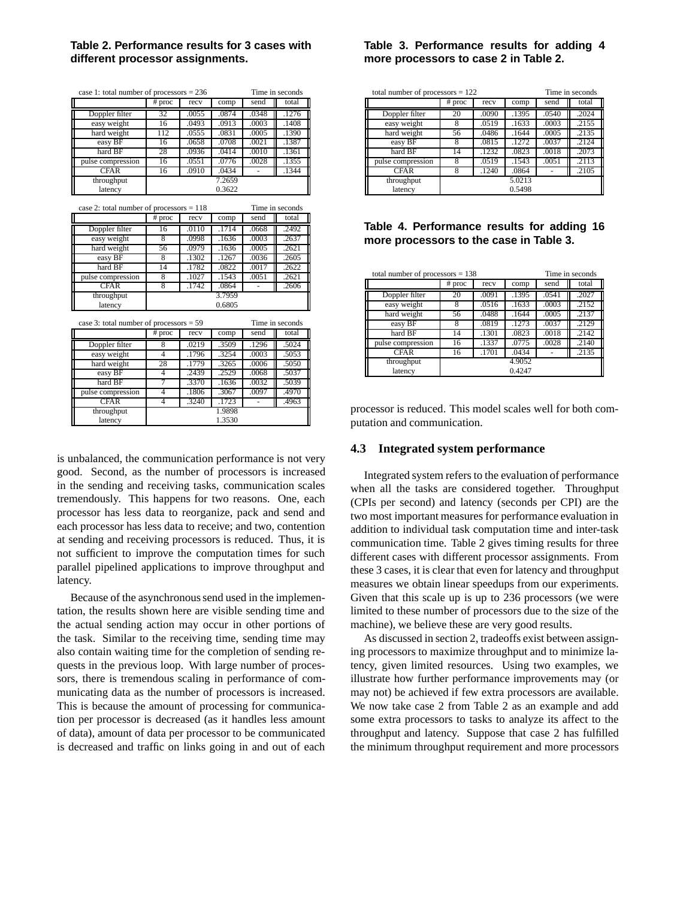## **Table 2. Performance results for 3 cases with different processor assignments.**

| case 1: total number of processors $= 236$ | Time in seconds |       |        |       |       |  |  |  |
|--------------------------------------------|-----------------|-------|--------|-------|-------|--|--|--|
|                                            | $#$ proc        | recv  | comp   | send  | total |  |  |  |
| Doppler filter                             | 32              | .0055 | .0874  | .0348 | .1276 |  |  |  |
| easy weight                                | 16              | .0493 | .0913  | .0003 | .1408 |  |  |  |
| hard weight                                | 112             | .0555 | .0831  | .0005 | .1390 |  |  |  |
| easy BF                                    | 16              | .0658 | .0708  | .0021 | .1387 |  |  |  |
| hard BF                                    | 28              | .0936 | .0414  | .0010 | .1361 |  |  |  |
| pulse compression                          | 16              | .0551 | .0776  | .0028 | .1355 |  |  |  |
| <b>CFAR</b>                                | 16              | .0910 | .0434  |       | .1344 |  |  |  |
| throughput                                 |                 |       | 7.2659 |       |       |  |  |  |
| latency                                    | 0.3622          |       |        |       |       |  |  |  |

|                      | case 2: total number of processors $= 118$ |       |        |       |       |
|----------------------|--------------------------------------------|-------|--------|-------|-------|
|                      | $#$ proc                                   | recv  | comp   | send  | total |
| Doppler filter       | 16                                         | .0110 | .1714  | .0668 | .2492 |
| easy weight          | 8                                          | .0998 | .1636  | .0003 | .2637 |
| hard weight          | 56                                         | .0979 | .1636  | .0005 | .2621 |
| easy $\overline{BF}$ | 8                                          | .1302 | .1267  | .0036 | .2605 |
| hard BF              | 14                                         | .1782 | .0822  | .0017 | .2622 |
| pulse compression    | 8                                          | .1027 | .1543  | .0051 | .2621 |
| <b>CFAR</b>          | 8                                          | .1742 | .0864  |       | .2606 |
| throughput           |                                            |       | 3.7959 |       |       |
| latency              |                                            |       | 0.6805 |       |       |

|                   | case 3: total number of processors $= 59$ |       |        |       |       |  |  |
|-------------------|-------------------------------------------|-------|--------|-------|-------|--|--|
|                   | $#$ proc                                  | recy  | comp   | send  | total |  |  |
| Doppler filter    | 8                                         | .0219 | .3509  | .1296 | .5024 |  |  |
| easy weight       | 4                                         | .1796 | .3254  | .0003 | .5053 |  |  |
| hard weight       | 28                                        | .1779 | .3265  | .0006 | .5050 |  |  |
| easy BF           | 4                                         | .2439 | .2529  | .0068 | .5037 |  |  |
| hard BF           | 7                                         | .3370 | .1636  | .0032 | .5039 |  |  |
| pulse compression | 4                                         | .1806 | .3067  | .0097 | .4970 |  |  |
| <b>CFAR</b>       | 4                                         | .3240 | .1723  |       | .4963 |  |  |
| throughput        |                                           |       | 1.9898 |       |       |  |  |
| latency           | 1.3530                                    |       |        |       |       |  |  |

is unbalanced, the communication performance is not very good. Second, as the number of processors is increased in the sending and receiving tasks, communication scales tremendously. This happens for two reasons. One, each processor has less data to reorganize, pack and send and each processor has less data to receive; and two, contention at sending and receiving processors is reduced. Thus, it is not sufficient to improve the computation times for such parallel pipelined applications to improve throughput and latency.

Because of the asynchronous send used in the implementation, the results shown here are visible sending time and the actual sending action may occur in other portions of the task. Similar to the receiving time, sending time may also contain waiting time for the completion of sending requests in the previous loop. With large number of processors, there is tremendous scaling in performance of communicating data as the number of processors is increased. This is because the amount of processing for communication per processor is decreased (as it handles less amount of data), amount of data per processor to be communicated is decreased and traffic on links going in and out of each

# **Table 3. Performance results for adding 4 more processors to case 2 in Table 2.**

|                   | total number of processors $= 122$ |       |        |       |       |  |
|-------------------|------------------------------------|-------|--------|-------|-------|--|
|                   | $#$ proc                           | recv  | comp   | send  | total |  |
| Doppler filter    | 20                                 | .0090 | .1395  | .0540 | .2024 |  |
| easy weight       | 8                                  | .0519 | .1633  | .0003 | .2155 |  |
| hard weight       | 56                                 | .0486 | .1644  | .0005 | .2135 |  |
| easy BF           | 8                                  | .0815 | .1272  | .0037 | .2124 |  |
| hard BF           | 14                                 | .1232 | .0823  | .0018 | .2073 |  |
| pulse compression | 8                                  | .0519 | .1543  | .0051 | .2113 |  |
| <b>CFAR</b>       | 8                                  | .1240 | .0864  |       | .2105 |  |
| throughput        |                                    |       | 5.0213 |       |       |  |
| latency           | 0.5498                             |       |        |       |       |  |

# **Table 4. Performance results for adding 16 more processors to the case in Table 3.**

| total number of processors $= 138$ | Time in seconds |       |        |       |       |  |
|------------------------------------|-----------------|-------|--------|-------|-------|--|
|                                    | $#$ proc        | recy  | comp   | send  | total |  |
| Doppler filter                     | 20              | .0091 | .1395  | .0541 | .2027 |  |
| easy weight                        | 8               | .0516 | .1633  | .0003 | .2152 |  |
| hard weight                        | 56              | .0488 | .1644  | .0005 | .2137 |  |
| easy BF                            | 8               | .0819 | .1273  | .0037 | .2129 |  |
| hard BF                            | 14              | .1301 | .0823  | .0018 | .2142 |  |
| pulse compression                  | 16              | .1337 | .0775  | .0028 | .2140 |  |
| <b>CFAR</b>                        | 16              | .1701 | .0434  |       | .2135 |  |
| throughput                         |                 |       | 4.9052 |       |       |  |
| latency                            | 0.4247          |       |        |       |       |  |

processor is reduced. This model scales well for both computation and communication.

#### **4.3 Integrated system performance**

Integrated system refers to the evaluation of performance when all the tasks are considered together. Throughput (CPIs per second) and latency (seconds per CPI) are the two most important measures for performance evaluation in addition to individual task computation time and inter-task communication time. Table 2 gives timing results for three different cases with different processor assignments. From these 3 cases, it is clear that even for latency and throughput measures we obtain linear speedups from our experiments. Given that this scale up is up to 236 processors (we were limited to these number of processors due to the size of the machine), we believe these are very good results.

As discussed in section 2, tradeoffs exist between assigning processors to maximize throughput and to minimize latency, given limited resources. Using two examples, we illustrate how further performance improvements may (or may not) be achieved if few extra processors are available. We now take case 2 from Table 2 as an example and add some extra processors to tasks to analyze its affect to the throughput and latency. Suppose that case 2 has fulfilled the minimum throughput requirement and more processors